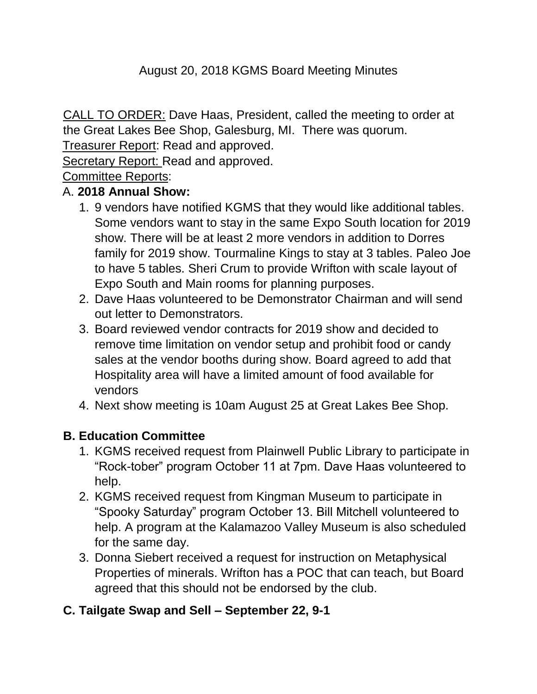# August 20, 2018 KGMS Board Meeting Minutes

CALL TO ORDER: Dave Haas, President, called the meeting to order at the Great Lakes Bee Shop, Galesburg, MI. There was quorum.

Treasurer Report: Read and approved.

Secretary Report: Read and approved.

Committee Reports:

#### A. **2018 Annual Show:**

- 1. 9 vendors have notified KGMS that they would like additional tables. Some vendors want to stay in the same Expo South location for 2019 show. There will be at least 2 more vendors in addition to Dorres family for 2019 show. Tourmaline Kings to stay at 3 tables. Paleo Joe to have 5 tables. Sheri Crum to provide Wrifton with scale layout of Expo South and Main rooms for planning purposes.
- 2. Dave Haas volunteered to be Demonstrator Chairman and will send out letter to Demonstrators.
- 3. Board reviewed vendor contracts for 2019 show and decided to remove time limitation on vendor setup and prohibit food or candy sales at the vendor booths during show. Board agreed to add that Hospitality area will have a limited amount of food available for vendors
- 4. Next show meeting is 10am August 25 at Great Lakes Bee Shop.

# **B. Education Committee**

- 1. KGMS received request from Plainwell Public Library to participate in "Rock-tober" program October 11 at 7pm. Dave Haas volunteered to help.
- 2. KGMS received request from Kingman Museum to participate in "Spooky Saturday" program October 13. Bill Mitchell volunteered to help. A program at the Kalamazoo Valley Museum is also scheduled for the same day.
- 3. Donna Siebert received a request for instruction on Metaphysical Properties of minerals. Wrifton has a POC that can teach, but Board agreed that this should not be endorsed by the club.

# **C. Tailgate Swap and Sell – September 22, 9-1**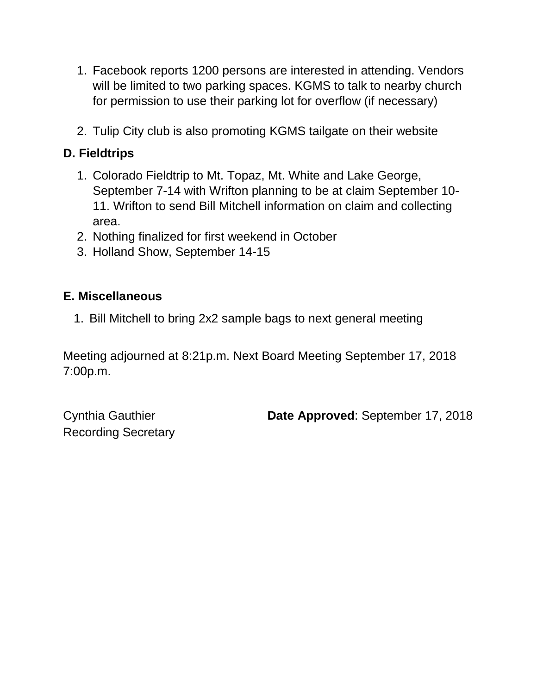- 1. Facebook reports 1200 persons are interested in attending. Vendors will be limited to two parking spaces. KGMS to talk to nearby church for permission to use their parking lot for overflow (if necessary)
- 2. Tulip City club is also promoting KGMS tailgate on their website

# **D. Fieldtrips**

- 1. Colorado Fieldtrip to Mt. Topaz, Mt. White and Lake George, September 7-14 with Wrifton planning to be at claim September 10- 11. Wrifton to send Bill Mitchell information on claim and collecting area.
- 2. Nothing finalized for first weekend in October
- 3. Holland Show, September 14-15

#### **E. Miscellaneous**

1. Bill Mitchell to bring 2x2 sample bags to next general meeting

Meeting adjourned at 8:21p.m. Next Board Meeting September 17, 2018 7:00p.m.

Recording Secretary

Cynthia Gauthier **Date Approved**: September 17, 2018